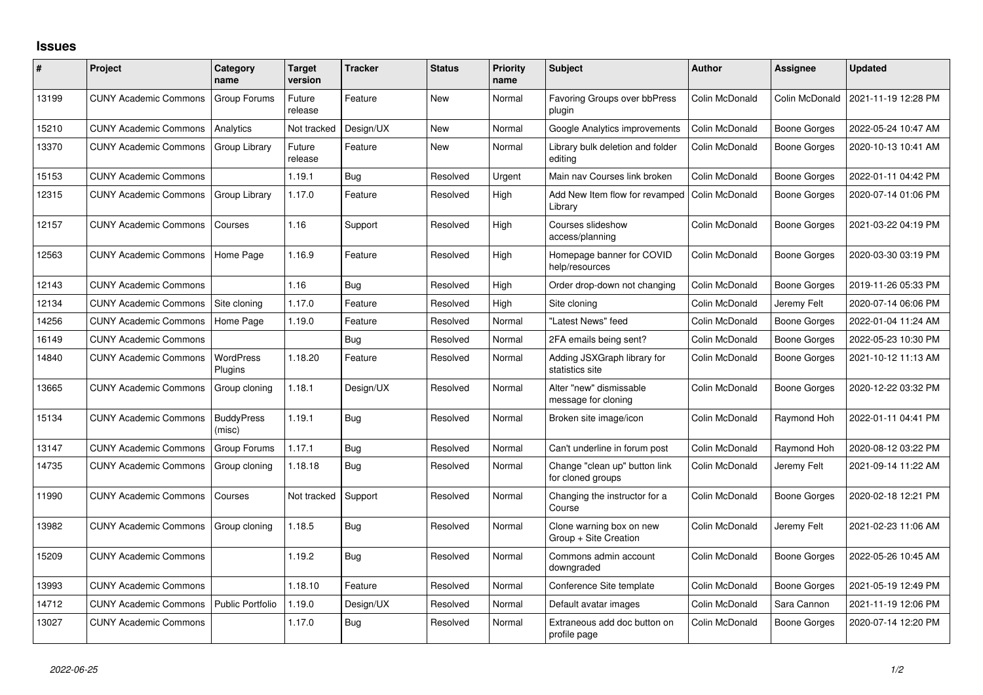## **Issues**

| #     | Project                      | Category<br>name            | <b>Target</b><br>version | <b>Tracker</b> | <b>Status</b> | <b>Priority</b><br>name | <b>Subject</b>                                     | <b>Author</b>  | Assignee            | <b>Updated</b>      |
|-------|------------------------------|-----------------------------|--------------------------|----------------|---------------|-------------------------|----------------------------------------------------|----------------|---------------------|---------------------|
| 13199 | <b>CUNY Academic Commons</b> | Group Forums                | Future<br>release        | Feature        | <b>New</b>    | Normal                  | <b>Favoring Groups over bbPress</b><br>plugin      | Colin McDonald | Colin McDonald      | 2021-11-19 12:28 PM |
| 15210 | <b>CUNY Academic Commons</b> | Analytics                   | Not tracked              | Design/UX      | <b>New</b>    | Normal                  | Google Analytics improvements                      | Colin McDonald | Boone Gorges        | 2022-05-24 10:47 AM |
| 13370 | <b>CUNY Academic Commons</b> | Group Library               | Future<br>release        | Feature        | <b>New</b>    | Normal                  | Library bulk deletion and folder<br>editing        | Colin McDonald | Boone Gorges        | 2020-10-13 10:41 AM |
| 15153 | <b>CUNY Academic Commons</b> |                             | 1.19.1                   | Bug            | Resolved      | Urgent                  | Main nav Courses link broken                       | Colin McDonald | Boone Gorges        | 2022-01-11 04:42 PM |
| 12315 | <b>CUNY Academic Commons</b> | Group Library               | 1.17.0                   | Feature        | Resolved      | High                    | Add New Item flow for revamped<br>Library          | Colin McDonald | Boone Gorges        | 2020-07-14 01:06 PM |
| 12157 | <b>CUNY Academic Commons</b> | Courses                     | 1.16                     | Support        | Resolved      | High                    | Courses slideshow<br>access/planning               | Colin McDonald | Boone Gorges        | 2021-03-22 04:19 PM |
| 12563 | <b>CUNY Academic Commons</b> | Home Page                   | 1.16.9                   | Feature        | Resolved      | High                    | Homepage banner for COVID<br>help/resources        | Colin McDonald | Boone Gorges        | 2020-03-30 03:19 PM |
| 12143 | <b>CUNY Academic Commons</b> |                             | 1.16                     | Bug            | Resolved      | High                    | Order drop-down not changing                       | Colin McDonald | Boone Gorges        | 2019-11-26 05:33 PM |
| 12134 | <b>CUNY Academic Commons</b> | Site cloning                | 1.17.0                   | Feature        | Resolved      | High                    | Site cloning                                       | Colin McDonald | Jeremy Felt         | 2020-07-14 06:06 PM |
| 14256 | <b>CUNY Academic Commons</b> | Home Page                   | 1.19.0                   | Feature        | Resolved      | Normal                  | "Latest News" feed                                 | Colin McDonald | <b>Boone Gorges</b> | 2022-01-04 11:24 AM |
| 16149 | <b>CUNY Academic Commons</b> |                             |                          | Bug            | Resolved      | Normal                  | 2FA emails being sent?                             | Colin McDonald | Boone Gorges        | 2022-05-23 10:30 PM |
| 14840 | <b>CUNY Academic Commons</b> | WordPress<br>Plugins        | 1.18.20                  | Feature        | Resolved      | Normal                  | Adding JSXGraph library for<br>statistics site     | Colin McDonald | Boone Gorges        | 2021-10-12 11:13 AM |
| 13665 | <b>CUNY Academic Commons</b> | Group cloning               | 1.18.1                   | Design/UX      | Resolved      | Normal                  | Alter "new" dismissable<br>message for cloning     | Colin McDonald | Boone Gorges        | 2020-12-22 03:32 PM |
| 15134 | <b>CUNY Academic Commons</b> | <b>BuddyPress</b><br>(misc) | 1.19.1                   | Bug            | Resolved      | Normal                  | Broken site image/icon                             | Colin McDonald | Raymond Hoh         | 2022-01-11 04:41 PM |
| 13147 | <b>CUNY Academic Commons</b> | Group Forums                | 1.17.1                   | Bug            | Resolved      | Normal                  | Can't underline in forum post                      | Colin McDonald | Raymond Hoh         | 2020-08-12 03:22 PM |
| 14735 | <b>CUNY Academic Commons</b> | Group cloning               | 1.18.18                  | <b>Bug</b>     | Resolved      | Normal                  | Change "clean up" button link<br>for cloned groups | Colin McDonald | Jeremy Felt         | 2021-09-14 11:22 AM |
| 11990 | <b>CUNY Academic Commons</b> | Courses                     | Not tracked              | Support        | Resolved      | Normal                  | Changing the instructor for a<br>Course            | Colin McDonald | Boone Gorges        | 2020-02-18 12:21 PM |
| 13982 | <b>CUNY Academic Commons</b> | Group cloning               | 1.18.5                   | Bug            | Resolved      | Normal                  | Clone warning box on new<br>Group + Site Creation  | Colin McDonald | Jeremy Felt         | 2021-02-23 11:06 AM |
| 15209 | <b>CUNY Academic Commons</b> |                             | 1.19.2                   | Bug            | Resolved      | Normal                  | Commons admin account<br>downgraded                | Colin McDonald | <b>Boone Gorges</b> | 2022-05-26 10:45 AM |
| 13993 | <b>CUNY Academic Commons</b> |                             | 1.18.10                  | Feature        | Resolved      | Normal                  | Conference Site template                           | Colin McDonald | Boone Gorges        | 2021-05-19 12:49 PM |
| 14712 | <b>CUNY Academic Commons</b> | <b>Public Portfolio</b>     | 1.19.0                   | Design/UX      | Resolved      | Normal                  | Default avatar images                              | Colin McDonald | Sara Cannon         | 2021-11-19 12:06 PM |
| 13027 | <b>CUNY Academic Commons</b> |                             | 1.17.0                   | Bug            | Resolved      | Normal                  | Extraneous add doc button on<br>profile page       | Colin McDonald | Boone Gorges        | 2020-07-14 12:20 PM |